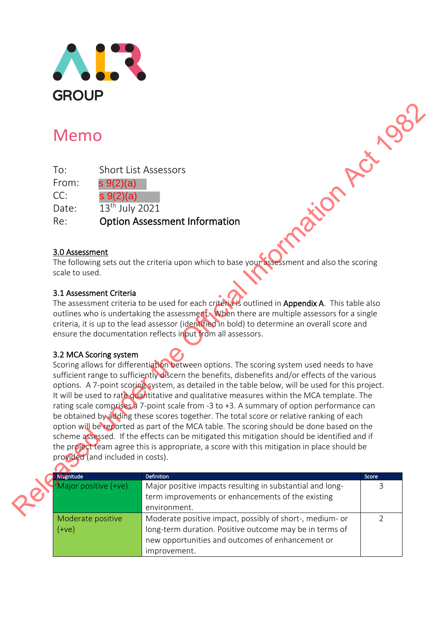

# Memo

| To:   | <b>Short List Assessors</b> |
|-------|-----------------------------|
| From: | $s \, 9(2)(a)$              |
| CC:   | $s \, 9(2)(a)$              |
| Date: | 13 <sup>th</sup> July 2021  |

Re: Option Assessment Information

### 3.0 Assessment

The following sets out the criteria upon which to base your assessment and also the scoring scale to used. **Religion Act 1982** 

### 3.1 Assessment Criteria

The assessment criteria to be used for each criteria is outlined in Appendix A. This table also outlines who is undertaking the assessment. When there are multiple assessors for a single criteria, it is up to the lead assessor (identified in bold) to determine an overall score and ensure the documentation reflects input from all assessors.

#### 3.2 MCA Scoring system

Scoring allows for differentiation between options. The scoring system used needs to have sufficient range to sufficiently discern the benefits, disbenefits and/or effects of the various options. A 7-point scoring system, as detailed in the table below, will be used for this project. It will be used to rate quantitative and qualitative measures within the MCA template. The rating scale comprises a 7-point scale from -3 to +3. A summary of option performance can be obtained by adding these scores together. The total score or relative ranking of each option will be reported as part of the MCA table. The scoring should be done based on the scheme assessed. If the effects can be mitigated this mitigation should be identified and if the project team agree this is appropriate, a score with this mitigation in place should be provided (and included in costs).

| <b>Magnitude</b>     | <b>Definition</b>                                         | Score |
|----------------------|-----------------------------------------------------------|-------|
| Major positive (+ve) | Major positive impacts resulting in substantial and long- |       |
|                      | term improvements or enhancements of the existing         |       |
|                      | environment.                                              |       |
| Moderate positive    | Moderate positive impact, possibly of short-, medium- or  |       |
| $(+ve)$              | long-term duration. Positive outcome may be in terms of   |       |
|                      | new opportunities and outcomes of enhancement or          |       |
|                      | improvement.                                              |       |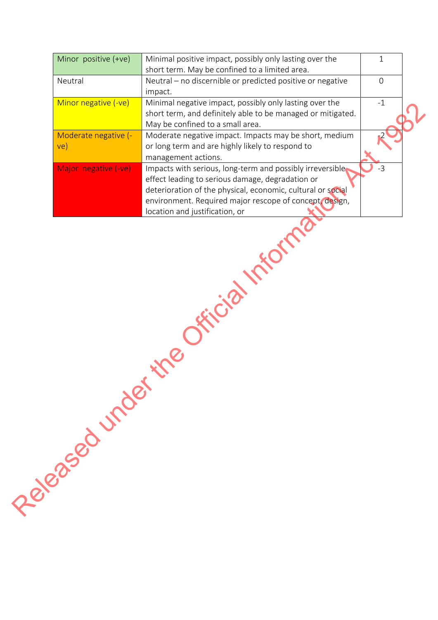| Neutral - no discernible or predicted positive or negative<br>Neutral<br>$\overline{O}$<br>impact.<br>Minor negative (-ve)<br>Minimal negative impact, possibly only lasting over the<br>$-1$<br>short term, and definitely able to be managed or mitigated.<br>May be confined to a small area.<br>Moderate negative (-<br>Moderate negative impact. Impacts may be short, medium<br>or long term and are highly likely to respond to<br>ve)<br>management actions.<br>Impacts with serious, long-term and possibly irreversible<br>Major negative (-ve)<br>$-3$<br>effect leading to serious damage, degradation or<br>deterioration of the physical, economic, cultural or social<br>environment. Required major rescope of concept, design,<br>location and justification, or<br>Friday |  | Perenaged under | Minor positive (+ve) | Minimal positive impact, possibly only lasting over the | $\mathbf{1}$ |
|---------------------------------------------------------------------------------------------------------------------------------------------------------------------------------------------------------------------------------------------------------------------------------------------------------------------------------------------------------------------------------------------------------------------------------------------------------------------------------------------------------------------------------------------------------------------------------------------------------------------------------------------------------------------------------------------------------------------------------------------------------------------------------------------|--|-----------------|----------------------|---------------------------------------------------------|--------------|
|                                                                                                                                                                                                                                                                                                                                                                                                                                                                                                                                                                                                                                                                                                                                                                                             |  |                 |                      | short term. May be confined to a limited area.          |              |
|                                                                                                                                                                                                                                                                                                                                                                                                                                                                                                                                                                                                                                                                                                                                                                                             |  |                 |                      |                                                         |              |
|                                                                                                                                                                                                                                                                                                                                                                                                                                                                                                                                                                                                                                                                                                                                                                                             |  |                 |                      |                                                         |              |
|                                                                                                                                                                                                                                                                                                                                                                                                                                                                                                                                                                                                                                                                                                                                                                                             |  |                 |                      |                                                         |              |
|                                                                                                                                                                                                                                                                                                                                                                                                                                                                                                                                                                                                                                                                                                                                                                                             |  |                 |                      |                                                         |              |
|                                                                                                                                                                                                                                                                                                                                                                                                                                                                                                                                                                                                                                                                                                                                                                                             |  |                 |                      |                                                         |              |
|                                                                                                                                                                                                                                                                                                                                                                                                                                                                                                                                                                                                                                                                                                                                                                                             |  |                 |                      |                                                         |              |
|                                                                                                                                                                                                                                                                                                                                                                                                                                                                                                                                                                                                                                                                                                                                                                                             |  |                 |                      |                                                         |              |
|                                                                                                                                                                                                                                                                                                                                                                                                                                                                                                                                                                                                                                                                                                                                                                                             |  |                 |                      |                                                         |              |
|                                                                                                                                                                                                                                                                                                                                                                                                                                                                                                                                                                                                                                                                                                                                                                                             |  |                 |                      |                                                         |              |
|                                                                                                                                                                                                                                                                                                                                                                                                                                                                                                                                                                                                                                                                                                                                                                                             |  |                 |                      |                                                         |              |
|                                                                                                                                                                                                                                                                                                                                                                                                                                                                                                                                                                                                                                                                                                                                                                                             |  |                 |                      |                                                         |              |
|                                                                                                                                                                                                                                                                                                                                                                                                                                                                                                                                                                                                                                                                                                                                                                                             |  |                 |                      |                                                         |              |
|                                                                                                                                                                                                                                                                                                                                                                                                                                                                                                                                                                                                                                                                                                                                                                                             |  |                 |                      |                                                         |              |
|                                                                                                                                                                                                                                                                                                                                                                                                                                                                                                                                                                                                                                                                                                                                                                                             |  |                 |                      |                                                         |              |
|                                                                                                                                                                                                                                                                                                                                                                                                                                                                                                                                                                                                                                                                                                                                                                                             |  |                 |                      |                                                         |              |
|                                                                                                                                                                                                                                                                                                                                                                                                                                                                                                                                                                                                                                                                                                                                                                                             |  |                 |                      |                                                         |              |
|                                                                                                                                                                                                                                                                                                                                                                                                                                                                                                                                                                                                                                                                                                                                                                                             |  |                 |                      |                                                         |              |
|                                                                                                                                                                                                                                                                                                                                                                                                                                                                                                                                                                                                                                                                                                                                                                                             |  |                 |                      |                                                         |              |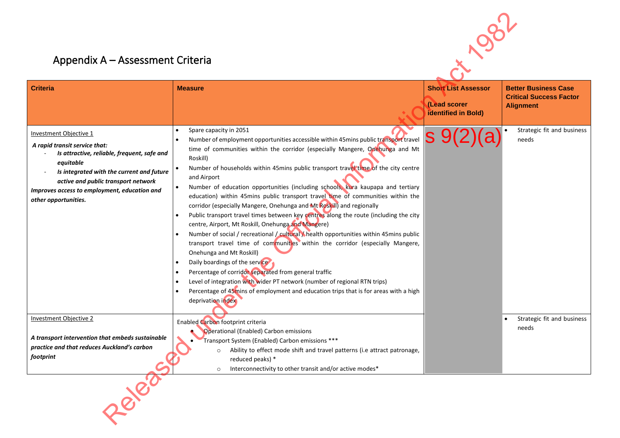## Appendix A – Assessment Criteria

| Appendix A - Assessment Criteria                                                                                                                                                                                                                                                       |                                                                                                                                                                                                                                                                                                                                                                                                                                                                                                                                                                                                                                                                                                                                                                                                                                                                                                                                                                                                                                                                                                                                                                                                                                                              |                                                                   |                                                                                   |
|----------------------------------------------------------------------------------------------------------------------------------------------------------------------------------------------------------------------------------------------------------------------------------------|--------------------------------------------------------------------------------------------------------------------------------------------------------------------------------------------------------------------------------------------------------------------------------------------------------------------------------------------------------------------------------------------------------------------------------------------------------------------------------------------------------------------------------------------------------------------------------------------------------------------------------------------------------------------------------------------------------------------------------------------------------------------------------------------------------------------------------------------------------------------------------------------------------------------------------------------------------------------------------------------------------------------------------------------------------------------------------------------------------------------------------------------------------------------------------------------------------------------------------------------------------------|-------------------------------------------------------------------|-----------------------------------------------------------------------------------|
| <b>Criteria</b>                                                                                                                                                                                                                                                                        | <b>Measure</b>                                                                                                                                                                                                                                                                                                                                                                                                                                                                                                                                                                                                                                                                                                                                                                                                                                                                                                                                                                                                                                                                                                                                                                                                                                               | <b>Short List Assessor</b><br>(Lead scorer<br>identified in Bold) | <b>Better Business Case</b><br><b>Critical Success Factor</b><br><b>Alignment</b> |
| <b>Investment Objective 1</b><br>A rapid transit service that:<br>Is attractive, reliable, frequent, safe and<br>equitable<br>Is integrated with the current and future<br>active and public transport network<br>Improves access to employment, education and<br>other opportunities. | Spare capacity in 2051<br>$\bullet$<br>Number of employment opportunities accessible within 45mins public transport travel<br>time of communities within the corridor (especially Mangere, Onehunga and Mt<br>Roskill)<br>Number of households within 45mins public transport travel time of the city centre<br>$\bullet$<br>and Airport<br>Number of education opportunities (including schools, kura kaupapa and tertiary<br>$\bullet$<br>education) within 45mins public transport travel time of communities within the<br>corridor (especially Mangere, Onehunga and Mt Roskill) and regionally<br>Public transport travel times between key centres along the route (including the city<br>centre, Airport, Mt Roskill, Onehunga and Mangere)<br>Number of social / recreational / cultural / health opportunities within 45mins public<br>$\bullet$<br>transport travel time of communities within the corridor (especially Mangere,<br>Onehunga and Mt Roskill)<br>Daily boardings of the service<br>Percentage of corridor separated from general traffic<br>Level of integration with wider PT network (number of regional RTN trips)<br>Percentage of 45mins of employment and education trips that is for areas with a high<br>deprivation index | S                                                                 | Strategic fit and business<br>needs                                               |
| <b>Investment Objective 2</b><br>A transport intervention that embeds sustainable<br>practice and that reduces Auckland's carbon<br>footprint                                                                                                                                          | Enabled Carbon footprint criteria<br>Operational (Enabled) Carbon emissions<br>• Transport System (Enabled) Carbon emissions ***<br>Ability to effect mode shift and travel patterns (i.e attract patronage,<br>$\circ$<br>reduced peaks) *<br>Interconnectivity to other transit and/or active modes*<br>$\circ$                                                                                                                                                                                                                                                                                                                                                                                                                                                                                                                                                                                                                                                                                                                                                                                                                                                                                                                                            |                                                                   | Strategic fit and business<br>needs                                               |
|                                                                                                                                                                                                                                                                                        |                                                                                                                                                                                                                                                                                                                                                                                                                                                                                                                                                                                                                                                                                                                                                                                                                                                                                                                                                                                                                                                                                                                                                                                                                                                              |                                                                   |                                                                                   |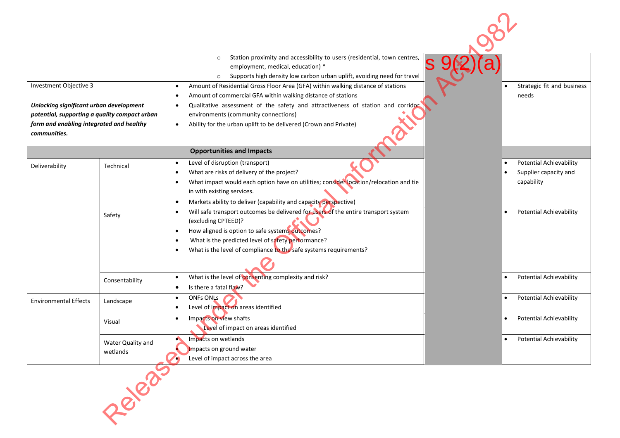|                                               |                   | Station proximity and accessibility to users (residential, town centres,<br>$\circ$<br>S<br>employment, medical, education) *<br>Supports high density low carbon urban uplift, avoiding need for travel<br>$\circ$ |                                             |
|-----------------------------------------------|-------------------|---------------------------------------------------------------------------------------------------------------------------------------------------------------------------------------------------------------------|---------------------------------------------|
| Investment Objective 3                        |                   | Amount of Residential Gross Floor Area (GFA) within walking distance of stations                                                                                                                                    | Strategic fit and business                  |
| Unlocking significant urban development       |                   | Amount of commercial GFA within walking distance of stations<br>Qualitative assessment of the safety and attractiveness of station and corridor                                                                     | needs                                       |
| potential, supporting a quality compact urban |                   | environments (community connections)                                                                                                                                                                                |                                             |
| form and enabling integrated and healthy      |                   | Ability for the urban uplift to be delivered (Crown and Private)<br>$\bullet$                                                                                                                                       |                                             |
| communities.                                  |                   |                                                                                                                                                                                                                     |                                             |
|                                               |                   | <b>Opportunities and Impacts</b>                                                                                                                                                                                    |                                             |
| Deliverability                                | Technical         | Level of disruption (transport)                                                                                                                                                                                     | <b>Potential Achievability</b>              |
|                                               |                   | What are risks of delivery of the project?                                                                                                                                                                          | Supplier capacity and                       |
|                                               |                   | What impact would each option have on utilities; consider location/relocation and tie<br>in with existing services.                                                                                                 | capability                                  |
|                                               |                   | Markets ability to deliver (capability and capacity perspective)                                                                                                                                                    |                                             |
|                                               |                   | Will safe transport outcomes be delivered for users of the entire transport system                                                                                                                                  | <b>Potential Achievability</b>              |
|                                               | Safety            | (excluding CPTEED)?                                                                                                                                                                                                 |                                             |
|                                               |                   | How aligned is option to safe systems outcomes?                                                                                                                                                                     |                                             |
|                                               |                   | What is the predicted level of safety performance?                                                                                                                                                                  |                                             |
|                                               |                   | What is the level of compliance to the safe systems requirements?                                                                                                                                                   |                                             |
|                                               |                   |                                                                                                                                                                                                                     |                                             |
|                                               | Consentability    | What is the level of consenting complexity and risk?                                                                                                                                                                | <b>Potential Achievability</b>              |
|                                               |                   | Is there a fatal flaw?                                                                                                                                                                                              |                                             |
| <b>Environmental Effects</b>                  | Landscape         | <b>ONFs ONLs</b>                                                                                                                                                                                                    | <b>Potential Achievability</b>              |
|                                               |                   | Level of impact on areas identified                                                                                                                                                                                 |                                             |
|                                               | Visual            | Impacts on view shafts<br>Level of impact on areas identified                                                                                                                                                       | <b>Potential Achievability</b>              |
|                                               |                   | $\bullet$<br>Impacts on wetlands                                                                                                                                                                                    | <b>Potential Achievability</b><br>$\bullet$ |
|                                               | Water Quality and | Impacts on ground water                                                                                                                                                                                             |                                             |
|                                               | wetlands          | Level of impact across the area                                                                                                                                                                                     |                                             |
|                                               | - 8/8/85          |                                                                                                                                                                                                                     |                                             |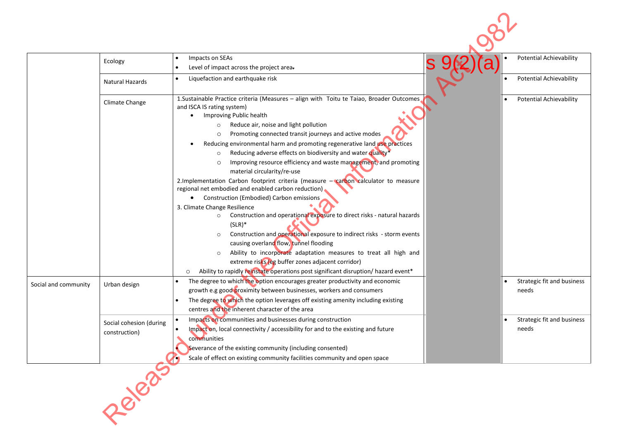|                      | Ecology                                  | Impacts on SEAs<br>Level of impact across the project area-                                                                                                                                                                                                                                                                                                                                                                                                                                                                                                                                                                                                                                                                                                                                                                                                                                                                                                                                                                                                                                                                          | <b>Potential Achievability</b>      |
|----------------------|------------------------------------------|--------------------------------------------------------------------------------------------------------------------------------------------------------------------------------------------------------------------------------------------------------------------------------------------------------------------------------------------------------------------------------------------------------------------------------------------------------------------------------------------------------------------------------------------------------------------------------------------------------------------------------------------------------------------------------------------------------------------------------------------------------------------------------------------------------------------------------------------------------------------------------------------------------------------------------------------------------------------------------------------------------------------------------------------------------------------------------------------------------------------------------------|-------------------------------------|
|                      | Natural Hazards                          | Liquefaction and earthquake risk                                                                                                                                                                                                                                                                                                                                                                                                                                                                                                                                                                                                                                                                                                                                                                                                                                                                                                                                                                                                                                                                                                     | <b>Potential Achievability</b>      |
|                      | Climate Change                           | 1. Sustainable Practice criteria (Measures - align with Toitu te Taiao, Broader Outcomes<br>and ISCA IS rating system)<br>Improving Public health<br>Reduce air, noise and light pollution<br>$\circ$<br>Promoting connected transit journeys and active modes<br>$\circ$<br>Reducing environmental harm and promoting regenerative land use practices<br>Reducing adverse effects on biodiversity and water quality*<br>$\circ$<br>Improving resource efficiency and waste management, and promoting<br>material circularity/re-use<br>2.Implementation Carbon footprint criteria (measure - carbon calculator to measure<br>regional net embodied and enabled carbon reduction).<br>Construction (Embodied) Carbon emissions<br>3. Climate Change Resilience<br>Construction and operational exposure to direct risks - natural hazards<br>$\circ$<br>$(SLR)^*$<br>Construction and operational exposure to indirect risks - storm events<br>$\circ$<br>causing overland flow, tunnel flooding<br>Ability to incorporate adaptation measures to treat all high and<br>$\circ$<br>extreme risks (eg buffer zones adjacent corridor) | <b>Potential Achievability</b>      |
| Social and community | Urban design                             | Ability to rapidly reinstate operations post significant disruption/ hazard event*<br>$\circ$<br>The degree to which the option encourages greater productivity and economic<br>growth e.g good proximity between businesses, workers and consumers<br>The degree to which the option leverages off existing amenity including existing<br>centres and the inherent character of the area                                                                                                                                                                                                                                                                                                                                                                                                                                                                                                                                                                                                                                                                                                                                            | Strategic fit and business<br>needs |
|                      | Social cohesion (during<br>construction) | Impacts on communities and businesses during construction<br>Impact on, local connectivity / accessibility for and to the existing and future<br>communities<br>Severance of the existing community (including consented)<br>Scale of effect on existing community facilities community and open space                                                                                                                                                                                                                                                                                                                                                                                                                                                                                                                                                                                                                                                                                                                                                                                                                               | Strategic fit and business<br>needs |
|                      | 18/8/8/8                                 |                                                                                                                                                                                                                                                                                                                                                                                                                                                                                                                                                                                                                                                                                                                                                                                                                                                                                                                                                                                                                                                                                                                                      |                                     |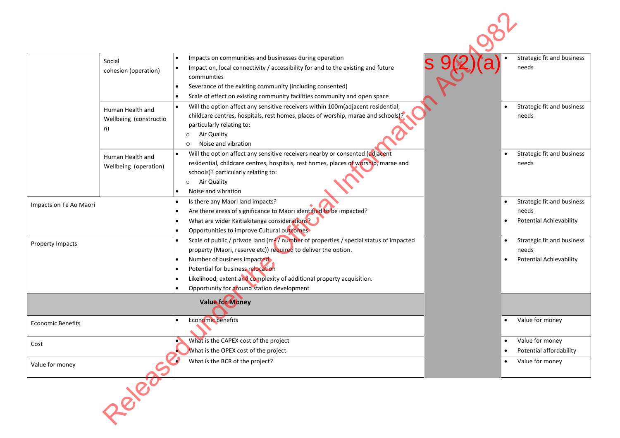|                          | Social<br>cohesion (operation)                   | Impacts on communities and businesses during operation<br>Impact on, local connectivity / accessibility for and to the existing and future<br>$\bullet$<br>communities<br>Severance of the existing community (including consented)<br>Scale of effect on existing community facilities community and open space                                                                                       | Strategic fit and business<br>needs                                   |
|--------------------------|--------------------------------------------------|--------------------------------------------------------------------------------------------------------------------------------------------------------------------------------------------------------------------------------------------------------------------------------------------------------------------------------------------------------------------------------------------------------|-----------------------------------------------------------------------|
|                          | Human Health and<br>Wellbeing (constructio<br>n) | Will the option affect any sensitive receivers within 100m(adjacent residential,<br>$\bullet$<br>childcare centres, hospitals, rest homes, places of worship, marae and schools)?<br>particularly relating to:<br>Air Quality<br>$\circ$<br>Noise and vibration<br>$\circ$                                                                                                                             | Strategic fit and business<br>needs                                   |
|                          | Human Health and<br>Wellbeing (operation)        | Will the option affect any sensitive receivers nearby or consented (adjacent<br>$\bullet$<br>residential, childcare centres, hospitals, rest homes, places of worship, marae and<br>schools)? particularly relating to:<br>Air Quality<br>$\circ$<br>Noise and vibration                                                                                                                               | Strategic fit and business<br>needs                                   |
| Impacts on Te Ao Maori   |                                                  | Is there any Maori land impacts?<br>$\bullet$<br>Are there areas of significance to Maori identified to be impacted?<br>What are wider Kaitiakitanga considerations?<br>Opportunities to improve Cultural outcomes                                                                                                                                                                                     | Strategic fit and business<br>needs<br><b>Potential Achievability</b> |
| Property Impacts         |                                                  | Scale of public / private land (m <sup>2</sup> / number of properties / special status of impacted<br>$\bullet$<br>property (Maori, reserve etc)) required to deliver the option.<br>Number of business impacted<br>$\bullet$<br>Potential for business relocation<br>Likelihood, extent and complexity of additional property acquisition.<br>$\bullet$<br>Opportunity for around station development | Strategic fit and business<br>needs<br><b>Potential Achievability</b> |
|                          |                                                  | <b>Value for Money</b>                                                                                                                                                                                                                                                                                                                                                                                 |                                                                       |
| <b>Economic Benefits</b> |                                                  | Economic benefits                                                                                                                                                                                                                                                                                                                                                                                      | Value for money                                                       |
| Cost                     |                                                  | What is the CAPEX cost of the project<br>What is the OPEX cost of the project                                                                                                                                                                                                                                                                                                                          | Value for money<br>Potential affordability                            |
| Value for money          |                                                  | What is the BCR of the project?                                                                                                                                                                                                                                                                                                                                                                        | Value for money<br>$\bullet$                                          |
|                          | - 8 830                                          |                                                                                                                                                                                                                                                                                                                                                                                                        |                                                                       |